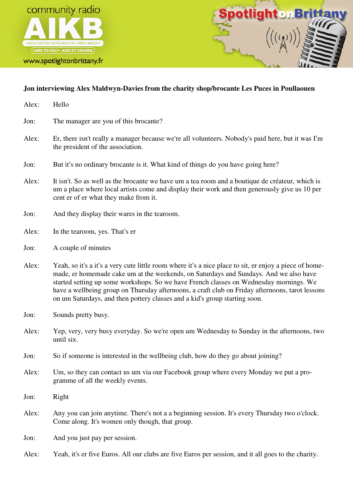





## **Jon interviewing Alex Maldwyn-Davies from the charity shop/brocante Les Puces in Poullaouen**

Alex: Hello Jon: The manager are you of this brocante? Alex: Er, there isn't really a manager because we're all volunteers. Nobody's paid here, but it was I'm the president of the association. Jon: But it's no ordinary brocante is it. What kind of things do you have going here? Alex: It isn't. So as well as the brocante we have um a tea room and a boutique de créateur, which is um a place where local artists come and display their work and then generously give us 10 per cent er of er what they make from it. Jon: And they display their wares in the tearoom. Alex: In the tearoom, yes. That's er Jon: A couple of minutes Alex: Yeah, so it's a it's a very cute little room where it's a nice place to sit, er enjoy a piece of homemade, er homemade cake um at the weekends, on Saturdays and Sundays. And we also have started setting up some workshops. So we have French classes on Wednesday mornings. We have a wellbeing group on Thursday afternoons, a craft club on Friday afternoons, tarot lessons on um Saturdays, and then pottery classes and a kid's group starting soon. Jon: Sounds pretty busy. Alex: Yep, very, very busy everyday. So we're open um Wednesday to Sunday in the afternoons, two until six. Jon: So if someone is interested in the wellbeing club, how do they go about joining? Alex: Um, so they can contact us um via our Facebook group where every Monday we put a programme of all the weekly events. Jon: Right Alex: Any you can join anytime. There's not a a beginning session. It's every Thursday two o'clock. Come along. It's women only though, that group. Jon: And you just pay per session. Alex: Yeah, it's er five Euros. All our clubs are five Euros per session, and it all goes to the charity.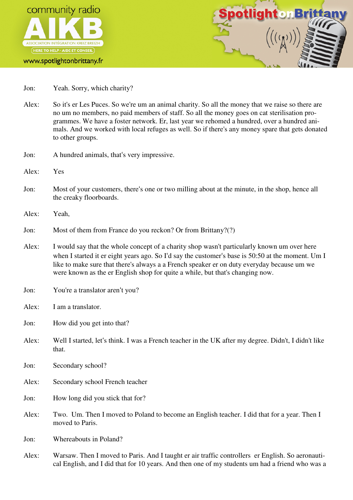



- Jon: Yeah. Sorry, which charity?
- Alex: So it's er Les Puces. So we're um an animal charity. So all the money that we raise so there are no um no members, no paid members of staff. So all the money goes on cat sterilisation programmes. We have a foster network. Er, last year we rehomed a hundred, over a hundred animals. And we worked with local refuges as well. So if there's any money spare that gets donated to other groups.
- Jon: A hundred animals, that's very impressive.
- Alex: Yes
- Jon: Most of your customers, there's one or two milling about at the minute, in the shop, hence all the creaky floorboards.
- Alex: Yeah,
- Jon: Most of them from France do you reckon? Or from Brittany?(?)
- Alex: I would say that the whole concept of a charity shop wasn't particularly known um over here when I started it er eight years ago. So I'd say the customer's base is 50:50 at the moment. Um I like to make sure that there's always a a French speaker er on duty everyday because um we were known as the er English shop for quite a while, but that's changing now.
- Jon: You're a translator aren't you?
- Alex: I am a translator.
- Jon: How did you get into that?
- Alex: Well I started, let's think. I was a French teacher in the UK after my degree. Didn't, I didn't like that.
- Jon: Secondary school?
- Alex: Secondary school French teacher
- Jon: How long did you stick that for?
- Alex: Two. Um. Then I moved to Poland to become an English teacher. I did that for a year. Then I moved to Paris.
- Jon: Whereabouts in Poland?
- Alex: Warsaw. Then I moved to Paris. And I taught er air traffic controllers er English. So aeronautical English, and I did that for 10 years. And then one of my students um had a friend who was a